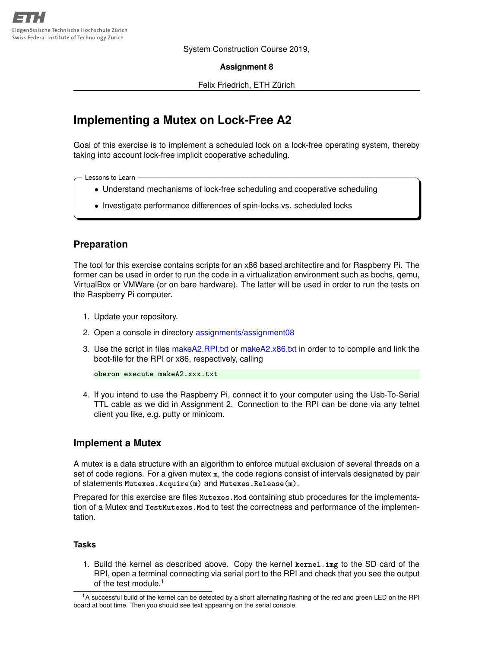System Construction Course 2019,

**Assignment 8**

Felix Friedrich, ETH Zürich

# **Implementing a Mutex on Lock-Free A2**

Goal of this exercise is to implement a scheduled lock on a lock-free operating system, thereby taking into account lock-free implicit cooperative scheduling.

Lessons to Learn

- Understand mechanisms of lock-free scheduling and cooperative scheduling
- Investigate performance differences of spin-locks vs. scheduled locks

## **Preparation**

The tool for this exercise contains scripts for an x86 based architectire and for Raspberry Pi. The former can be used in order to run the code in a virtualization environment such as bochs, qemu, VirtualBox or VMWare (or on bare hardware). The latter will be used in order to run the tests on the Raspberry Pi computer.

- 1. Update your repository.
- 2. Open a console in directory [assignments/assignment08](https://svn.inf.ethz.ch/svn/lecturers/vorlesungen/trunk/syscon/2019/shared/assignments/assignment08)
- 3. Use the script in files [makeA2.RPI.txt](https://svn.inf.ethz.ch/svn/lecturers/vorlesungen/trunk/syscon/2019/shared/assignments/assignment08/makeA2.RPI.txt) or [makeA2.x86.txt](https://svn.inf.ethz.ch/svn/lecturers/vorlesungen/trunk/syscon/2019/shared/assignments/assignment08/makeA2.x86.txt) in order to to compile and link the boot-file for the RPI or x86, respectively, calling

```
oberon execute makeA2.xxx.txt
```
4. If you intend to use the Raspberry Pi, connect it to your computer using the Usb-To-Serial TTL cable as we did in Assignment 2. Connection to the RPI can be done via any telnet client you like, e.g. putty or minicom.

## **Implement a Mutex**

A mutex is a data structure with an algorithm to enforce mutual exclusion of several threads on a set of code regions. For a given mutex **m**, the code regions consist of intervals designated by pair of statements **Mutexes.Acquire(m)** and **Mutexes.Release(m)**.

Prepared for this exercise are files **Mutexes.Mod** containing stub procedures for the implementation of a Mutex and **TestMutexes.Mod** to test the correctness and performance of the implementation.

#### **Tasks**

1. Build the kernel as described above. Copy the kernel **kernel.img** to the SD card of the RPI, open a terminal connecting via serial port to the RPI and check that you see the output of the test module.[1](#page-0-0)

<span id="page-0-0"></span><sup>&</sup>lt;sup>1</sup>A successful build of the kernel can be detected by a short alternating flashing of the red and green LED on the RPI board at boot time. Then you should see text appearing on the serial console.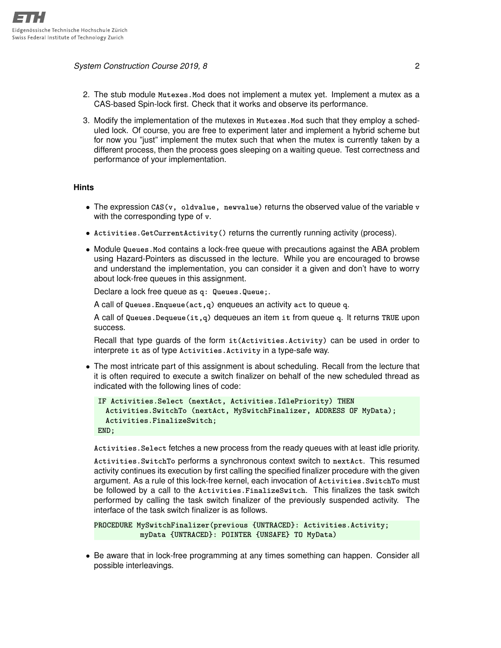*System Construction Course 2019, 8* 2

- 2. The stub module **Mutexes.Mod** does not implement a mutex yet. Implement a mutex as a CAS-based Spin-lock first. Check that it works and observe its performance.
- 3. Modify the implementation of the mutexes in **Mutexes.Mod** such that they employ a scheduled lock. Of course, you are free to experiment later and implement a hybrid scheme but for now you "just" implement the mutex such that when the mutex is currently taken by a different process, then the process goes sleeping on a waiting queue. Test correctness and performance of your implementation.

## **Hints**

- The expression **CAS(v, oldvalue, newvalue)** returns the observed value of the variable **v** with the corresponding type of **v**.
- **Activities.GetCurrentActivity()** returns the currently running activity (process).
- Module **Queues.Mod** contains a lock-free queue with precautions against the ABA problem using Hazard-Pointers as discussed in the lecture. While you are encouraged to browse and understand the implementation, you can consider it a given and don't have to worry about lock-free queues in this assignment.

Declare a lock free queue as **q: Queues.Queue;**.

A call of **Queues.Enqueue(act,q)** enqueues an activity **act** to queue **q**.

A call of **Queues.Dequeue(it,q)** dequeues an item **it** from queue **q**. It returns **TRUE** upon success.

Recall that type guards of the form **it(Activities.Activity)** can be used in order to interprete **it** as of type **Activities.Activity** in a type-safe way.

• The most intricate part of this assignment is about scheduling. Recall from the lecture that it is often required to execute a switch finalizer on behalf of the new scheduled thread as indicated with the following lines of code:

```
IF Activities.Select (nextAct, Activities.IdlePriority) THEN
 Activities.SwitchTo (nextAct, MySwitchFinalizer, ADDRESS OF MyData);
 Activities.FinalizeSwitch;
END;
```
**Activities.Select** fetches a new process from the ready queues with at least idle priority.

**Activities.SwitchTo** performs a synchronous context switch to **nextAct**. This resumed activity continues its execution by first calling the specified finalizer procedure with the given argument. As a rule of this lock-free kernel, each invocation of **Activities.SwitchTo** must be followed by a call to the **Activities.FinalizeSwitch**. This finalizes the task switch performed by calling the task switch finalizer of the previously suspended activity. The interface of the task switch finalizer is as follows.

```
PROCEDURE MySwitchFinalizer(previous {UNTRACED}: Activities.Activity;
          myData {UNTRACED}: POINTER {UNSAFE} TO MyData)
```
• Be aware that in lock-free programming at any times something can happen. Consider all possible interleavings.